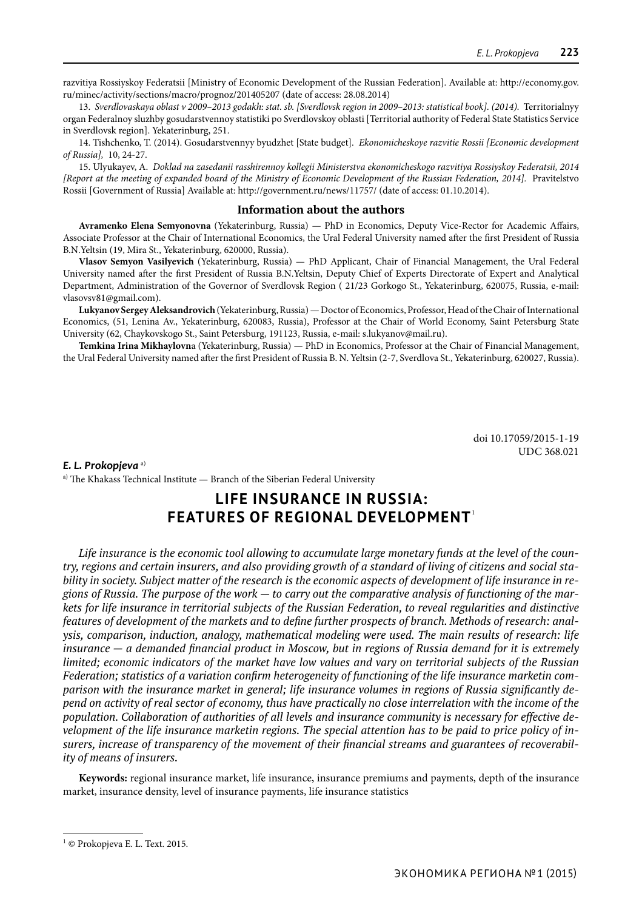# *E. L. Prokopjeva* a)

 $a)$  The Khakass Technical Institute  $-$  Branch of the Siberian Federal University

# **LIFE INSURANCE IN RUSSIA: FEATURES OF REGIONAL DEVELOPMENT**

*Life insurance is the economic tool allowing to accumulate large monetary funds at the level of the country, regions and certain insurers, and also providing growth of a standard of living of citizens and social stability in society. Subject matter of the research is the economic aspects of development of life insurance in regions of Russia. The purpose of the work — to carry out the comparative analysis of functioning of the markets for life insurance in territorial subjects of the Russian Federation, to reveal regularities and distinctive features of development of the markets and to define further prospects of branch. Methods of research: analysis, comparison, induction, analogy, mathematical modeling were used. The main results of research: life insurance — a demanded financial product in Moscow, but in regions of Russia demand for it is extremely limited; economic indicators of the market have low values and vary on territorial subjects of the Russian Federation; statistics of a variation confirm heterogeneity of functioning of the life insurance marketin comparison with the insurance market in general; life insurance volumes in regions of Russia significantly depend on activity of real sector of economy, thus have practically no close interrelation with the income of the population. Collaboration of authorities of all levels and insurance community is necessary for effective development of the life insurance marketin regions. The special attention has to be paid to price policy of insurers, increase of transparency of the movement of their financial streams and guarantees of recoverability of means of insurers.*

**Keywords:** regional insurance market, life insurance, insurance premiums and payments, depth of the insurance market, insurance density, level of insurance payments, life insurance statistics

<sup>&</sup>lt;sup>1</sup> © Prokopjeva E. L. Text. 2015.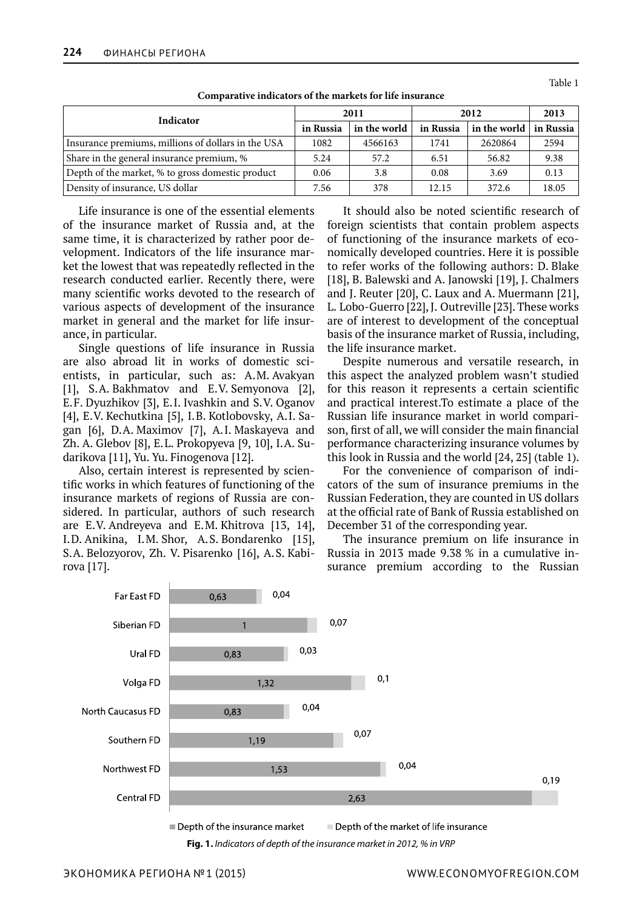| Indicator                                          | 2011      |              | 2012      |                                | 2013  |
|----------------------------------------------------|-----------|--------------|-----------|--------------------------------|-------|
|                                                    | in Russia | in the world | in Russia | in the world $\vert$ in Russia |       |
| Insurance premiums, millions of dollars in the USA | 1082      | 4566163      | 1741      | 2620864                        | 2594  |
| Share in the general insurance premium, %          | 5.24      | 57.2         | 6.51      | 56.82                          | 9.38  |
| Depth of the market, % to gross domestic product   | 0.06      | 3.8          | 0.08      | 3.69                           | 0.13  |
| Density of insurance, US dollar                    | 7.56      | 378          | 12.15     | 372.6                          | 18.05 |

**Comparative indicators of the markets for life insurance**

Life insurance is one of the essential elements of the insurance market of Russia and, at the same time, it is characterized by rather poor development. Indicators of the life insurance market the lowest that was repeatedly reflected in the research conducted earlier. Recently there, were many scientific works devoted to the research of various aspects of development of the insurance market in general and the market for life insurance, in particular.

Single questions of life insurance in Russia are also abroad lit in works of domestic scientists, in particular, such as: A.M. Avakyan [1], S.A. Bakhmatov and E.V. Semyonova [2], E.F. Dyuzhikov [3], E.I. Ivashkin and S.V. Oganov [4], E.V. Kechutkina [5], I.B. Kotlobovsky, A.I. Sagan [6], D.A. Maximov [7], A.I. Maskayeva and Zh. A. Glebov [8], E.L. Prokopyeva [9, 10], I.A. Sudarikova [11], Yu. Yu. Finogenova [12].

Also, certain interest is represented by scientific works in which features of functioning of the insurance markets of regions of Russia are considered. In particular, authors of such research are E.V. Andreyeva and E.M. Khitrova [13, 14], I.D. Anikina, I.M. Shor, A.S. Bondarenko [15], S.A. Belozyorov, Zh. V. Pisarenko [16], A.S. Kabirova [17].

It should also be noted scientific research of foreign scientists that contain problem aspects of functioning of the insurance markets of economically developed countries. Here it is possible to refer works of the following authors: D. Blake [18], B. Balewski and A. Janowski [19], J. Chalmers and J. Reuter [20], C. Laux and A. Muermann [21], L. Lobo-Guerro [22], J. Outreville [23]. These works are of interest to development of the conceptual basis of the insurance market of Russia, including, the life insurance market.

Despite numerous and versatile research, in this aspect the analyzed problem wasn't studied for this reason it represents a certain scientific and practical interest.To estimate a place of the Russian life insurance market in world comparison, first of all, we will consider the main financial performance characterizing insurance volumes by this look in Russia and the world [24, 25] (table 1).

For the convenience of comparison of indicators of the sum of insurance premiums in the Russian Federation, they are counted in US dollars at the official rate of Bank of Russia established on December 31 of the corresponding year.

The insurance premium on life insurance in Russia in 2013 made 9.38 % in a cumulative insurance premium according to the Russian



**Fig. 1.** *Indicators of depth of the insurance market in 2012, % in VRP*

Table 1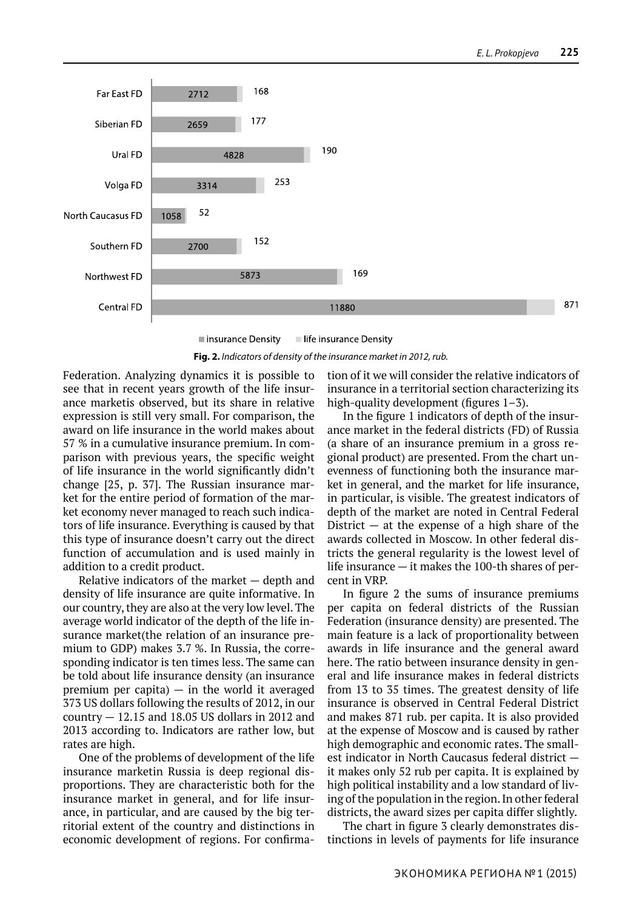

■ insurance Density I life insurance Density **Fig. 2.** *Indicators of density of the insurance market in 2012, rub.*

Federation. Analyzing dynamics it is possible to see that in recent years growth of the life insurance marketis observed, but its share in relative expression is still very small. For comparison, the award on life insurance in the world makes about 57 % in a cumulative insurance premium. In comparison with previous years, the specific weight of life insurance in the world significantly didn't change [25, p. 37]. The Russian insurance market for the entire period of formation of the market economy never managed to reach such indicators of life insurance. Everything is caused by that this type of insurance doesn't carry out the direct function of accumulation and is used mainly in addition to a credit product.

Relative indicators of the market — depth and density of life insurance are quite informative. In our country, they are also at the very low level. The average world indicator of the depth of the life insurance market(the relation of an insurance premium to GDP) makes 3.7 %. In Russia, the corresponding indicator is ten times less. The same can be told about life insurance density (an insurance premium per capita)  $-$  in the world it averaged 373 US dollars following the results of 2012, in our country  $-12.15$  and 18.05 US dollars in 2012 and 2013 according to. Indicators are rather low, but rates are high.

One of the problems of development of the life insurance marketin Russia is deep regional disproportions. They are characteristic both for the insurance market in general, and for life insurance, in particular, and are caused by the big territorial extent of the country and distinctions in economic development of regions. For confirmation of it we will consider the relative indicators of insurance in a territorial section characterizing its high-quality development (figures 1–3).

In the figure 1 indicators of depth of the insurance market in the federal districts (FD) of Russia (a share of an insurance premium in a gross regional product) are presented. From the chart unevenness of functioning both the insurance market in general, and the market for life insurance, in particular, is visible. The greatest indicators of depth of the market are noted in Central Federal District  $-$  at the expense of a high share of the awards collected in Moscow. In other federal districts the general regularity is the lowest level of life insurance — it makes the 100-th shares of percent in VRP.

In figure 2 the sums of insurance premiums per capita on federal districts of the Russian Federation (insurance density) are presented. The main feature is a lack of proportionality between awards in life insurance and the general award here. The ratio between insurance density in general and life insurance makes in federal districts from 13 to 35 times. The greatest density of life insurance is observed in Central Federal District and makes 871 rub. per capita. It is also provided at the expense of Moscow and is caused by rather high demographic and economic rates. The smallest indicator in North Caucasus federal district it makes only 52 rub per capita. It is explained by high political instability and a low standard of living of the population in the region. In other federal districts, the award sizes per capita differ slightly.

The chart in figure 3 clearly demonstrates distinctions in levels of payments for life insurance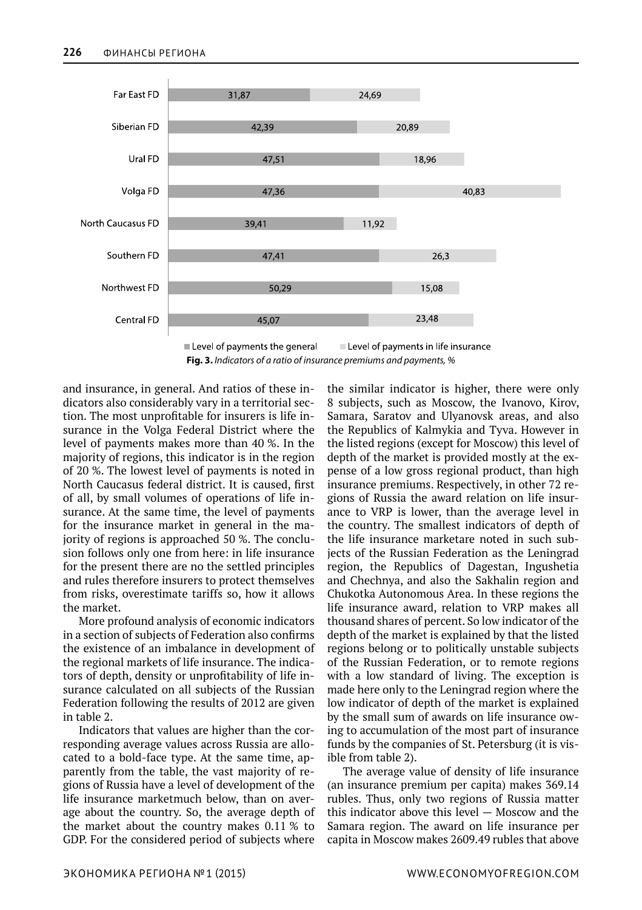

Level of payments in life insurance Level of payments the general **Fig. 3.** *Indicators of a ratio of insurance premiums and payments, %*

and insurance, in general. And ratios of these indicators also considerably vary in a territorial section. The most unprofitable for insurers is life insurance in the Volga Federal District where the level of payments makes more than 40 %. In the majority of regions, this indicator is in the region of 20 %. The lowest level of payments is noted in North Caucasus federal district. It is caused, first of all, by small volumes of operations of life insurance. At the same time, the level of payments for the insurance market in general in the majority of regions is approached 50 %. The conclusion follows only one from here: in life insurance for the present there are no the settled principles and rules therefore insurers to protect themselves from risks, overestimate tariffs so, how it allows the market.

More profound analysis of economic indicators in a section of subjects of Federation also confirms the existence of an imbalance in development of the regional markets of life insurance. The indicators of depth, density or unprofitability of life insurance calculated on all subjects of the Russian Federation following the results of 2012 are given in table 2.

Indicators that values are higher than the corresponding average values across Russia are allocated to a bold-face type. At the same time, apparently from the table, the vast majority of regions of Russia have a level of development of the life insurance marketmuch below, than on average about the country. So, the average depth of the market about the country makes 0.11 % to GDP. For the considered period of subjects where the similar indicator is higher, there were only 8 subjects, such as Moscow, the Ivanovo, Kirov, Samara, Saratov and Ulyanovsk areas, and also the Republics of Kalmykia and Tyva. However in the listed regions (except for Moscow) this level of depth of the market is provided mostly at the expense of a low gross regional product, than high insurance premiums. Respectively, in other 72 regions of Russia the award relation on life insurance to VRP is lower, than the average level in the country. The smallest indicators of depth of the life insurance marketare noted in such subjects of the Russian Federation as the Leningrad region, the Republics of Dagestan, Ingushetia and Chechnya, and also the Sakhalin region and Chukotka Autonomous Area. In these regions the life insurance award, relation to VRP makes all thousand shares of percent. So low indicator of the depth of the market is explained by that the listed regions belong or to politically unstable subjects of the Russian Federation, or to remote regions with a low standard of living. The exception is made here only to the Leningrad region where the low indicator of depth of the market is explained by the small sum of awards on life insurance owing to accumulation of the most part of insurance funds by the companies of St. Petersburg (it is visible from table 2).

The average value of density of life insurance (an insurance premium per capita) makes 369.14 rubles. Thus, only two regions of Russia matter this indicator above this level — Moscow and the Samara region. The award on life insurance per capita in Moscow makes 2609.49 rubles that above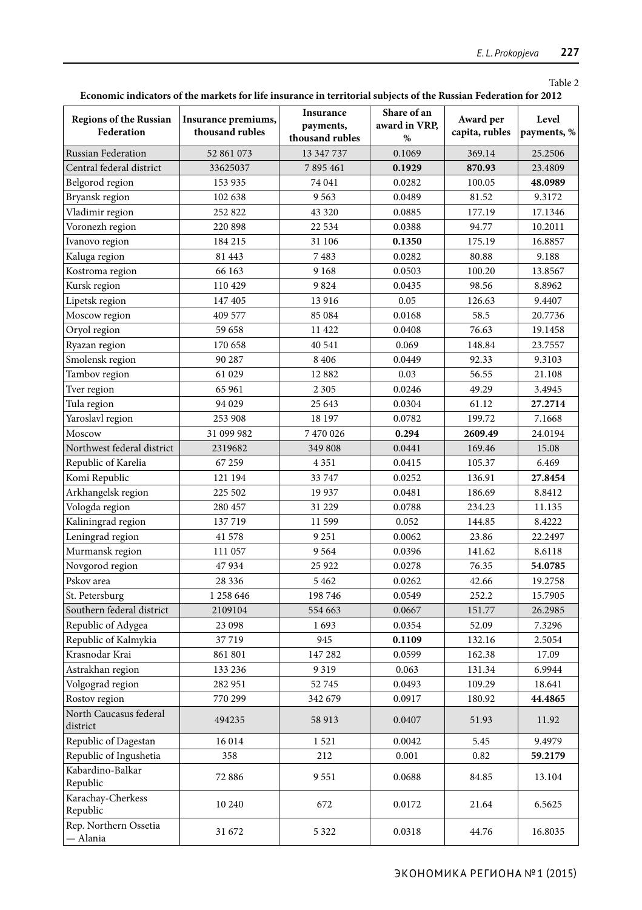Table 2

## **Economic indicators of the markets for life insurance in territorial subjects of the Russian Federation for 2012**

| <b>Regions of the Russian</b><br>Federation | Insurance premiums,<br>thousand rubles | Insurance<br>payments,<br>thousand rubles | Share of an<br>award in VRP,<br>% | Award per<br>capita, rubles | Level<br>payments, % |
|---------------------------------------------|----------------------------------------|-------------------------------------------|-----------------------------------|-----------------------------|----------------------|
| Russian Federation                          | 52 861 073                             | 13 347 737                                | 0.1069                            | 369.14                      | 25.2506              |
| Central federal district                    | 33625037                               | 7895461                                   | 0.1929                            | 870.93                      | 23.4809              |
| Belgorod region                             | 153 935                                | 74 041                                    | 0.0282                            | 100.05                      | 48.0989              |
| Bryansk region                              | 102 638                                | 9563                                      | 0.0489                            | 81.52                       | 9.3172               |
| Vladimir region                             | 252 822                                | 43 320                                    | 0.0885                            | 177.19                      | 17.1346              |
| Voronezh region                             | 220 898                                | 22 5 3 4                                  | 0.0388                            | 94.77                       | 10.2011              |
| Ivanovo region                              | 184 215                                | 31 106                                    | 0.1350                            | 175.19                      | 16.8857              |
| Kaluga region                               | 81 443                                 | 7483                                      | 0.0282                            | 80.88                       | 9.188                |
| Kostroma region                             | 66 163                                 | 9 1 6 8                                   | 0.0503                            | 100.20                      | 13.8567              |
| Kursk region                                | 110 429                                | 9824                                      | 0.0435                            | 98.56                       | 8.8962               |
| Lipetsk region                              | 147 405                                | 13 916                                    | 0.05                              | 126.63                      | 9.4407               |
| Moscow region                               | 409 577                                | 85 084                                    | 0.0168                            | 58.5                        | 20.7736              |
| Oryol region                                | 59 658                                 | 11 422                                    | 0.0408                            | 76.63                       | 19.1458              |
| Ryazan region                               | 170 658                                | 40 541                                    | 0.069                             | 148.84                      | 23.7557              |
| Smolensk region                             | 90 287                                 | 8 4 0 6                                   | 0.0449                            | 92.33                       | 9.3103               |
| Tambov region                               | 61 029                                 | 12882                                     | 0.03                              | 56.55                       | 21.108               |
| Tver region                                 | 65 961                                 | 2 3 0 5                                   | 0.0246                            | 49.29                       | 3.4945               |
| Tula region                                 | 94 0 29                                | 25 643                                    | 0.0304                            | 61.12                       | 27.2714              |
| Yaroslavl region                            | 253 908                                | 18 197                                    | 0.0782                            | 199.72                      | 7.1668               |
| Moscow                                      | 31 099 982                             | 7 470 026                                 | 0.294                             | 2609.49                     | 24.0194              |
| Northwest federal district                  | 2319682                                | 349 808                                   | 0.0441                            | 169.46                      | 15.08                |
| Republic of Karelia                         | 67 259                                 | 4 3 5 1                                   | 0.0415                            | 105.37                      | 6.469                |
| Komi Republic                               | 121 194                                | 33 747                                    | 0.0252                            | 136.91                      | 27.8454              |
| Arkhangelsk region                          | 225 502                                | 19 9 37                                   | 0.0481                            | 186.69                      | 8.8412               |
| Vologda region                              | 280 457                                | 31 229                                    | 0.0788                            | 234.23                      | 11.135               |
| Kaliningrad region                          | 137719                                 | 11 599                                    | 0.052                             | 144.85                      | 8.4222               |
| Leningrad region                            | 41 578                                 | 9 2 5 1                                   | 0.0062                            | 23.86                       | 22.2497              |
| Murmansk region                             | 111 057                                | 9564                                      | 0.0396                            | 141.62                      | 8.6118               |
| Novgorod region                             | 47934                                  | 25 9 22                                   | 0.0278                            | 76.35                       | 54.0785              |
| Pskov area                                  | 28 3 3 6                               | 5 4 6 2                                   | 0.0262                            | 42.66                       | 19.2758              |
| St. Petersburg                              | 1 258 646                              | 198 746                                   | 0.0549                            | 252.2                       | 15.7905              |
| Southern federal district                   | 2109104                                | 554 663                                   | 0.0667                            | 151.77                      | 26.2985              |
| Republic of Adygea                          | 23 098                                 | 1693                                      | 0.0354                            | 52.09                       | 7.3296               |
| Republic of Kalmykia                        | 37719                                  | 945                                       | 0.1109                            | 132.16                      | 2.5054               |
| Krasnodar Krai                              | 861 801                                | 147 282                                   | 0.0599                            | 162.38                      | 17.09                |
| Astrakhan region                            | 133 236                                | 9319                                      | 0.063                             | 131.34                      | 6.9944               |
| Volgograd region                            | 282 951                                | 52 745                                    | 0.0493                            | 109.29                      | 18.641               |
| Rostov region                               | 770 299                                | 342 679                                   | 0.0917                            | 180.92                      | 44.4865              |
| North Caucasus federal<br>district          | 494235                                 | 58 913                                    | 0.0407                            | 51.93                       | 11.92                |
| Republic of Dagestan                        | 16014                                  | 1521                                      | 0.0042                            | 5.45                        | 9.4979               |
| Republic of Ingushetia                      | 358                                    | 212                                       | 0.001                             | 0.82                        | 59.2179              |
| Kabardino-Balkar<br>Republic                | 72 886                                 | 9 5 5 1                                   | 0.0688                            | 84.85                       | 13.104               |
| Karachay-Cherkess<br>Republic               | 10 240                                 | 672                                       | 0.0172                            | 21.64                       | 6.5625               |
| Rep. Northern Ossetia<br>- Alania           | 31 672                                 | 5 3 2 2                                   | 0.0318                            | 44.76                       | 16.8035              |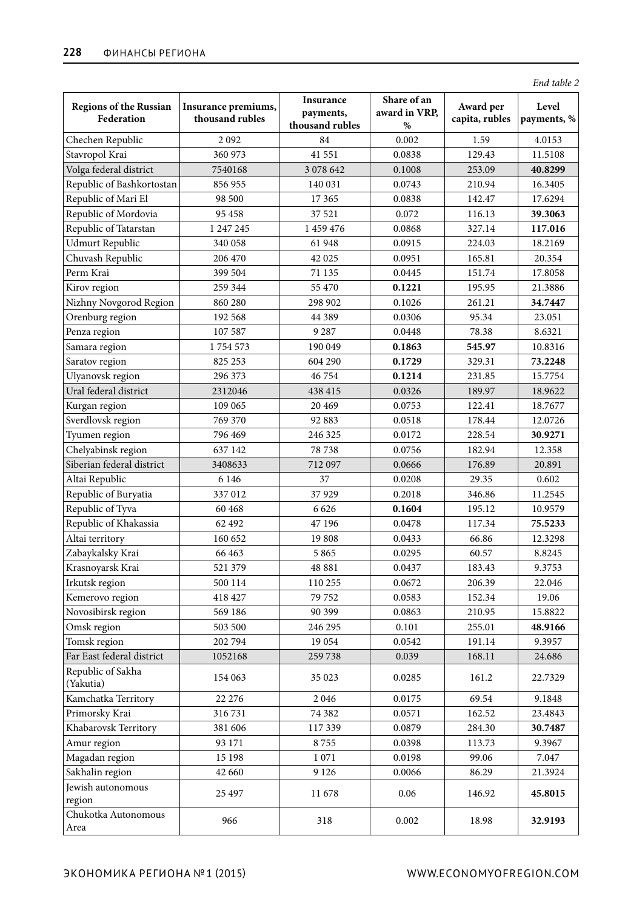| <b>Regions of the Russian</b><br>Federation | Insurance premiums,<br>thousand rubles | Insurance<br>payments,<br>thousand rubles | Share of an<br>award in VRP,<br>% | Award per<br>capita, rubles | Level<br>payments, % |
|---------------------------------------------|----------------------------------------|-------------------------------------------|-----------------------------------|-----------------------------|----------------------|
| Chechen Republic                            | 2092                                   | 84                                        | 0.002                             | 1.59                        | 4.0153               |
| Stavropol Krai                              | 360 973                                | 41 551                                    | 0.0838                            | 129.43                      | 11.5108              |
| Volga federal district                      | 7540168                                | 3 078 642                                 | 0.1008                            | 253.09                      | 40.8299              |
| Republic of Bashkortostan                   | 856 955                                | 140 031                                   | 0.0743                            | 210.94                      | 16.3405              |
| Republic of Mari El                         | 98 500                                 | 17 3 65                                   | 0.0838                            | 142.47                      | 17.6294              |
| Republic of Mordovia                        | 95 458                                 | 37 521                                    | 0.072                             | 116.13                      | 39.3063              |
| Republic of Tatarstan                       | 1 247 245                              | 1 459 476                                 | 0.0868                            | 327.14                      | 117.016              |
| <b>Udmurt Republic</b>                      | 340 058                                | 61948                                     | 0.0915                            | 224.03                      | 18.2169              |
| Chuvash Republic                            | 206 470                                | 42 025                                    | 0.0951                            | 165.81                      | 20.354               |
| Perm Krai                                   | 399 504                                | 71 135                                    | 0.0445                            | 151.74                      | 17.8058              |
| Kirov region                                | 259 344                                | 55 470                                    | 0.1221                            | 195.95                      | 21.3886              |
| Nizhny Novgorod Region                      | 860 280                                | 298 902                                   | 0.1026                            | 261.21                      | 34.7447              |
| Orenburg region                             | 192 568                                | 44 389                                    | 0.0306                            | 95.34                       | 23.051               |
| Penza region                                | 107 587                                | 9 2 8 7                                   | 0.0448                            | 78.38                       | 8.6321               |
| Samara region                               | 1754573                                | 190 049                                   | 0.1863                            | 545.97                      | 10.8316              |
| Saratov region                              | 825 253                                | 604 290                                   | 0.1729                            | 329.31                      | 73.2248              |
| Ulyanovsk region                            | 296 373                                | 46 754                                    | 0.1214                            | 231.85                      | 15.7754              |
| Ural federal district                       | 2312046                                | 438 415                                   | 0.0326                            | 189.97                      | 18.9622              |
| Kurgan region                               | 109 065                                | 20 4 69                                   | 0.0753                            | 122.41                      | 18.7677              |
| Sverdlovsk region                           | 769 370                                | 92 883                                    | 0.0518                            | 178.44                      | 12.0726              |
| Tyumen region                               | 796 469                                | 246 325                                   | 0.0172                            | 228.54                      | 30.9271              |
| Chelyabinsk region                          | 637 142                                | 78 738                                    | 0.0756                            | 182.94                      | 12.358               |
| Siberian federal district                   | 3408633                                | 712 097                                   | 0.0666                            | 176.89                      | 20.891               |
| Altai Republic                              | 6 1 4 6                                | 37                                        | 0.0208                            | 29.35                       | 0.602                |
| Republic of Buryatia                        | 337012                                 | 37929                                     | 0.2018                            | 346.86                      | 11.2545              |
| Republic of Tyva                            | 60 468                                 | 6 6 2 6                                   | 0.1604                            | 195.12                      | 10.9579              |
| Republic of Khakassia                       | 62 492                                 | 47 196                                    | 0.0478                            | 117.34                      | 75.5233              |
| Altai territory                             | 160 652                                | 19808                                     | 0.0433                            | 66.86                       | 12.3298              |
| Zabaykalsky Krai                            | 66 463                                 | 5 8 6 5                                   | 0.0295                            | 60.57                       | 8.8245               |
| Krasnoyarsk Krai                            | 521 379                                | 48 881                                    | 0.0437                            | 183.43                      | 9.3753               |
| Irkutsk region                              | 500 114                                | 110 255                                   | 0.0672                            | 206.39                      | 22.046               |
| Kemerovo region                             | 418 427                                | 79 752                                    | 0.0583                            | 152.34                      | 19.06                |
| Novosibirsk region                          | 569 186                                | 90 399                                    | 0.0863                            | 210.95                      | 15.8822              |
| Omsk region                                 | 503 500                                | 246 295                                   | 0.101                             | 255.01                      | 48.9166              |
| Tomsk region                                | 202 794                                | 19 0 54                                   | 0.0542                            | 191.14                      | 9.3957               |
| Far East federal district                   | 1052168                                | 259738                                    | 0.039                             | 168.11                      | 24.686               |
| Republic of Sakha<br>(Yakutia)              | 154 063                                | 35 023                                    | 0.0285                            | 161.2                       | 22.7329              |
| Kamchatka Territory                         | 22 276                                 | 2046                                      | 0.0175                            | 69.54                       | 9.1848               |
| Primorsky Krai                              | 316731                                 | 74 382                                    | 0.0571                            | 162.52                      | 23.4843              |
| Khabarovsk Territory                        | 381 606                                | 117 339                                   | 0.0879                            | 284.30                      | 30.7487              |
| Amur region                                 | 93 171                                 | 8755                                      | 0.0398                            | 113.73                      | 9.3967               |
| Magadan region                              | 15 198                                 | 1071                                      | 0.0198                            | 99.06                       | 7.047                |
| Sakhalin region                             | 42 660                                 | 9 1 2 6                                   | 0.0066                            | 86.29                       | 21.3924              |
| Jewish autonomous<br>region                 | 25 497                                 | 11678                                     | 0.06                              | 146.92                      | 45.8015              |
| Chukotka Autonomous<br>Area                 | 966                                    | 318                                       | 0.002                             | 18.98                       | 32.9193              |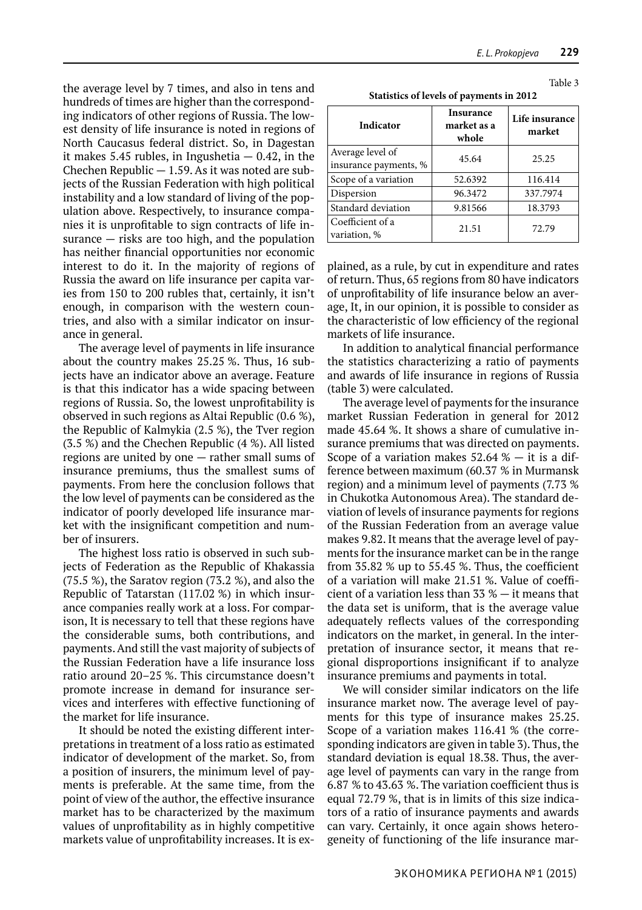the average level by 7 times, and also in tens and hundreds of times are higher than the corresponding indicators of other regions of Russia. The lowest density of life insurance is noted in regions of North Caucasus federal district. So, in Dagestan it makes 5.45 rubles, in Ingushetia  $-$  0.42, in the Chechen Republic  $-1.59$ . As it was noted are subjects of the Russian Federation with high political instability and a low standard of living of the population above. Respectively, to insurance companies it is unprofitable to sign contracts of life insurance  $-$  risks are too high, and the population has neither financial opportunities nor economic interest to do it. In the majority of regions of Russia the award on life insurance per capita varies from 150 to 200 rubles that, certainly, it isn't enough, in comparison with the western countries, and also with a similar indicator on insurance in general.

The average level of payments in life insurance about the country makes 25.25 %. Thus, 16 subjects have an indicator above an average. Feature is that this indicator has a wide spacing between regions of Russia. So, the lowest unprofitability is observed in such regions as Altai Republic (0.6 %), the Republic of Kalmykia (2.5 %), the Tver region (3.5 %) and the Chechen Republic (4 %). All listed regions are united by one — rather small sums of insurance premiums, thus the smallest sums of payments. From here the conclusion follows that the low level of payments can be considered as the indicator of poorly developed life insurance market with the insignificant competition and number of insurers.

The highest loss ratio is observed in such subjects of Federation as the Republic of Khakassia (75.5 %), the Saratov region (73.2 %), and also the Republic of Tatarstan (117.02 %) in which insurance companies really work at a loss. For comparison, It is necessary to tell that these regions have the considerable sums, both contributions, and payments. And still the vast majority of subjects of the Russian Federation have a life insurance loss ratio around 20–25 %. This circumstance doesn't promote increase in demand for insurance services and interferes with effective functioning of the market for life insurance.

It should be noted the existing different interpretations in treatment of a loss ratio as estimated indicator of development of the market. So, from a position of insurers, the minimum level of payments is preferable. At the same time, from the point of view of the author, the effective insurance market has to be characterized by the maximum values of unprofitability as in highly competitive markets value of unprofitability increases. It is ex-

**Statistics of levels of payments in 2012**

| Indicator                                 | <b>Insurance</b><br>market as a<br>whole | Life insurance<br>market |
|-------------------------------------------|------------------------------------------|--------------------------|
| Average level of<br>insurance payments, % | 45.64                                    | 25.25                    |
| Scope of a variation                      | 52.6392                                  | 116.414                  |
| Dispersion                                | 96.3472                                  | 337.7974                 |
| Standard deviation                        | 9.81566                                  | 18.3793                  |
| Coefficient of a<br>variation, %          | 21.51                                    | 72.79                    |

plained, as a rule, by cut in expenditure and rates of return. Thus, 65 regions from 80 have indicators of unprofitability of life insurance below an average, It, in our opinion, it is possible to consider as the characteristic of low efficiency of the regional markets of life insurance.

In addition to analytical financial performance the statistics characterizing a ratio of payments and awards of life insurance in regions of Russia (table 3) were calculated.

The average level of payments for the insurance market Russian Federation in general for 2012 made 45.64 %. It shows a share of cumulative insurance premiums that was directed on payments. Scope of a variation makes  $52.64\%$  – it is a difference between maximum (60.37 % in Murmansk region) and a minimum level of payments (7.73 % in Chukotka Autonomous Area). The standard deviation of levels of insurance payments for regions of the Russian Federation from an average value makes 9.82. It means that the average level of payments for the insurance market can be in the range from 35.82 % up to 55.45 %. Thus, the coefficient of a variation will make 21.51 %. Value of coefficient of a variation less than  $33\%$   $-$  it means that the data set is uniform, that is the average value adequately reflects values of the corresponding indicators on the market, in general. In the interpretation of insurance sector, it means that regional disproportions insignificant if to analyze insurance premiums and payments in total.

We will consider similar indicators on the life insurance market now. The average level of payments for this type of insurance makes 25.25. Scope of a variation makes 116.41 % (the corresponding indicators are given in table 3). Thus, the standard deviation is equal 18.38. Thus, the average level of payments can vary in the range from 6.87 % to 43.63 %. The variation coefficient thus is equal 72.79 %, that is in limits of this size indicators of a ratio of insurance payments and awards can vary. Certainly, it once again shows heterogeneity of functioning of the life insurance mar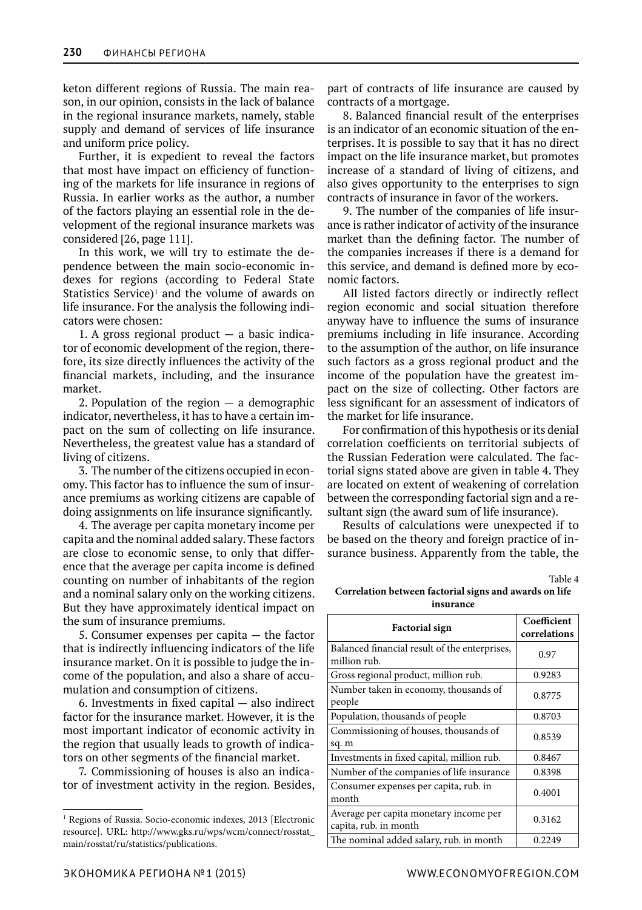keton different regions of Russia. The main reason, in our opinion, consists in the lack of balance in the regional insurance markets, namely, stable supply and demand of services of life insurance and uniform price policy.

Further, it is expedient to reveal the factors that most have impact on efficiency of functioning of the markets for life insurance in regions of Russia. In earlier works as the author, a number of the factors playing an essential role in the development of the regional insurance markets was considered [26, page 111].

In this work, we will try to estimate the dependence between the main socio-economic indexes for regions (according to Federal State Statistics Service) $^{\scriptscriptstyle 1}$  and the volume of awards on life insurance. For the analysis the following indicators were chosen:

1. A gross regional product  $-$  a basic indicator of economic development of the region, therefore, its size directly influences the activity of the financial markets, including, and the insurance market.

2. Population of the region — a demographic indicator, nevertheless, it has to have a certain impact on the sum of collecting on life insurance. Nevertheless, the greatest value has a standard of living of citizens.

3. The number of the citizens occupied in economy. This factor has to influence the sum of insurance premiums as working citizens are capable of doing assignments on life insurance significantly.

4. The average per capita monetary income per capita and the nominal added salary. These factors are close to economic sense, to only that difference that the average per capita income is defined counting on number of inhabitants of the region and a nominal salary only on the working citizens. But they have approximately identical impact on the sum of insurance premiums.

5. Consumer expenses per capita — the factor that is indirectly influencing indicators of the life insurance market. On it is possible to judge the income of the population, and also a share of accumulation and consumption of citizens.

6. Investments in fixed capital — also indirect factor for the insurance market. However, it is the most important indicator of economic activity in the region that usually leads to growth of indicators on other segments of the financial market.

7. Commissioning of houses is also an indicator of investment activity in the region. Besides, part of contracts of life insurance are caused by contracts of a mortgage.

8. Balanced financial result of the enterprises is an indicator of an economic situation of the enterprises. It is possible to say that it has no direct impact on the life insurance market, but promotes increase of a standard of living of citizens, and also gives opportunity to the enterprises to sign contracts of insurance in favor of the workers.

9. The number of the companies of life insurance is rather indicator of activity of the insurance market than the defining factor. The number of the companies increases if there is a demand for this service, and demand is defined more by economic factors.

All listed factors directly or indirectly reflect region economic and social situation therefore anyway have to influence the sums of insurance premiums including in life insurance. According to the assumption of the author, on life insurance such factors as a gross regional product and the income of the population have the greatest impact on the size of collecting. Other factors are less significant for an assessment of indicators of the market for life insurance.

For confirmation of this hypothesis or its denial correlation coefficients on territorial subjects of the Russian Federation were calculated. The factorial signs stated above are given in table 4. They are located on extent of weakening of correlation between the corresponding factorial sign and a resultant sign (the award sum of life insurance).

Results of calculations were unexpected if to be based on the theory and foreign practice of insurance business. Apparently from the table, the

Table 4

**Correlation between factorial signs and awards on life insurance**

| <b>Factorial sign</b>                                           | Coefficient<br>correlations |
|-----------------------------------------------------------------|-----------------------------|
| Balanced financial result of the enterprises,<br>million rub.   | 0.97                        |
| Gross regional product, million rub.                            | 0.9283                      |
| Number taken in economy, thousands of<br>people                 | 0.8775                      |
| Population, thousands of people                                 | 0.8703                      |
| Commissioning of houses, thousands of<br>sq. m                  | 0.8539                      |
| Investments in fixed capital, million rub.                      | 0.8467                      |
| Number of the companies of life insurance                       | 0.8398                      |
| Consumer expenses per capita, rub. in<br>month                  | 0.4001                      |
| Average per capita monetary income per<br>capita, rub. in month | 0.3162                      |
| The nominal added salary, rub. in month                         | 0.2249                      |

<sup>&</sup>lt;sup>1</sup> Regions of Russia. Socio-economic indexes, 2013 [Electronic resource]. URL: http://www.gks.ru/wps/wcm/connect/rosstat\_ main/rosstat/ru/statistics/publications.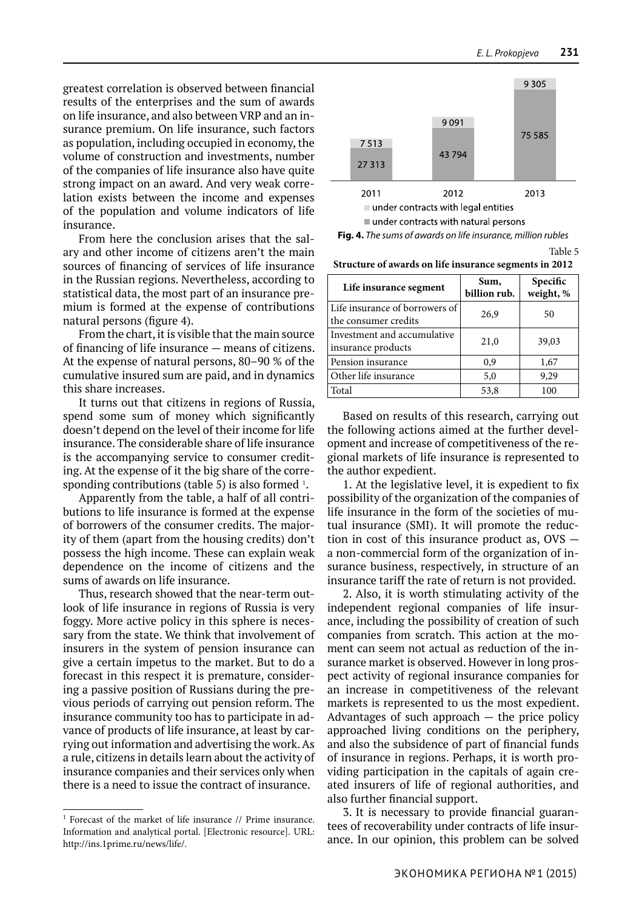greatest correlation is observed between financial results of the enterprises and the sum of awards on life insurance, and also between VRP and an insurance premium. On life insurance, such factors as population, including occupied in economy, the volume of construction and investments, number of the companies of life insurance also have quite strong impact on an award. And very weak correlation exists between the income and expenses of the population and volume indicators of life insurance.

From here the conclusion arises that the salary and other income of citizens aren't the main sources of financing of services of life insurance in the Russian regions. Nevertheless, according to statistical data, the most part of an insurance premium is formed at the expense of contributions natural persons (figure 4).

From the chart, it is visible that the main source of financing of life insurance — means of citizens. At the expense of natural persons, 80–90 % of the cumulative insured sum are paid, and in dynamics this share increases.

It turns out that citizens in regions of Russia, spend some sum of money which significantly doesn't depend on the level of their income for life insurance. The considerable share of life insurance is the accompanying service to consumer crediting. At the expense of it the big share of the corresponding contributions (table 5) is also formed  $^{\scriptscriptstyle 1}$ .

Apparently from the table, a half of all contributions to life insurance is formed at the expense of borrowers of the consumer credits. The majority of them (apart from the housing credits) don't possess the high income. These can explain weak dependence on the income of citizens and the sums of awards on life insurance.

Thus, research showed that the near-term outlook of life insurance in regions of Russia is very foggy. More active policy in this sphere is necessary from the state. We think that involvement of insurers in the system of pension insurance can give a certain impetus to the market. But to do a forecast in this respect it is premature, considering a passive position of Russians during the previous periods of carrying out pension reform. The insurance community too has to participate in advance of products of life insurance, at least by carrying out information and advertising the work. As a rule, citizens in details learn about the activity of insurance companies and their services only when there is a need to issue the contract of insurance.



**Fig. 4.** *The sums of awards on life insurance, million rubles* Table 5

**Structure of awards on life insurance segments in 2012**

| Life insurance segment                                 | Sum,<br>billion rub. | Specific<br>weight, % |
|--------------------------------------------------------|----------------------|-----------------------|
| Life insurance of borrowers of<br>the consumer credits | 26,9                 | 50                    |
| Investment and accumulative<br>insurance products      | 21,0                 | 39,03                 |
| Pension insurance                                      | 0,9                  | 1,67                  |
| Other life insurance                                   | 5,0                  | 9,29                  |
| Total                                                  | 53,8                 | 100                   |

Based on results of this research, carrying out the following actions aimed at the further development and increase of competitiveness of the regional markets of life insurance is represented to the author expedient.

1. At the legislative level, it is expedient to fix possibility of the organization of the companies of life insurance in the form of the societies of mutual insurance (SMI). It will promote the reduction in cost of this insurance product as, OVS a non-commercial form of the organization of insurance business, respectively, in structure of an insurance tariff the rate of return is not provided.

2. Also, it is worth stimulating activity of the independent regional companies of life insurance, including the possibility of creation of such companies from scratch. This action at the moment can seem not actual as reduction of the insurance market is observed. However in long prospect activity of regional insurance companies for an increase in competitiveness of the relevant markets is represented to us the most expedient. Advantages of such approach — the price policy approached living conditions on the periphery, and also the subsidence of part of financial funds of insurance in regions. Perhaps, it is worth providing participation in the capitals of again created insurers of life of regional authorities, and also further financial support.

3. It is necessary to provide financial guarantees of recoverability under contracts of life insurance. In our opinion, this problem can be solved

<sup>&</sup>lt;sup>1</sup> Forecast of the market of life insurance // Prime insurance. Information and analytical portal. [Electronic resource]. URL: http://ins.1prime.ru/news/life/.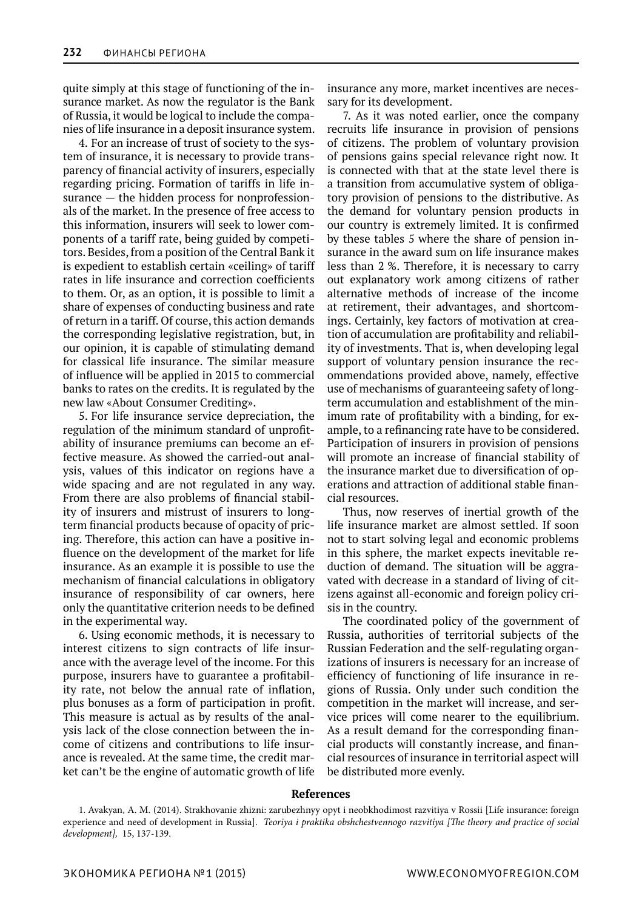quite simply at this stage of functioning of the insurance market. As now the regulator is the Bank of Russia, it would be logical to include the companies of life insurance in a deposit insurance system.

4. For an increase of trust of society to the system of insurance, it is necessary to provide transparency of financial activity of insurers, especially regarding pricing. Formation of tariffs in life insurance — the hidden process for nonprofessionals of the market. In the presence of free access to this information, insurers will seek to lower components of a tariff rate, being guided by competitors. Besides, from a position of the Central Bank it is expedient to establish certain «ceiling» of tariff rates in life insurance and correction coefficients to them. Or, as an option, it is possible to limit a share of expenses of conducting business and rate of return in a tariff. Of course, this action demands the corresponding legislative registration, but, in our opinion, it is capable of stimulating demand for classical life insurance. The similar measure of influence will be applied in 2015 to commercial banks to rates on the credits. It is regulated by the new law «About Consumer Crediting».

5. For life insurance service depreciation, the regulation of the minimum standard of unprofitability of insurance premiums can become an effective measure. As showed the carried-out analysis, values of this indicator on regions have a wide spacing and are not regulated in any way. From there are also problems of financial stability of insurers and mistrust of insurers to longterm financial products because of opacity of pricing. Therefore, this action can have a positive influence on the development of the market for life insurance. As an example it is possible to use the mechanism of financial calculations in obligatory insurance of responsibility of car owners, here only the quantitative criterion needs to be defined in the experimental way.

6. Using economic methods, it is necessary to interest citizens to sign contracts of life insurance with the average level of the income. For this purpose, insurers have to guarantee a profitability rate, not below the annual rate of inflation, plus bonuses as a form of participation in profit. This measure is actual as by results of the analysis lack of the close connection between the income of citizens and contributions to life insurance is revealed. At the same time, the credit market can't be the engine of automatic growth of life insurance any more, market incentives are necessary for its development.

7. As it was noted earlier, once the company recruits life insurance in provision of pensions of citizens. The problem of voluntary provision of pensions gains special relevance right now. It is connected with that at the state level there is a transition from accumulative system of obligatory provision of pensions to the distributive. As the demand for voluntary pension products in our country is extremely limited. It is confirmed by these tables 5 where the share of pension insurance in the award sum on life insurance makes less than 2 %. Therefore, it is necessary to carry out explanatory work among citizens of rather alternative methods of increase of the income at retirement, their advantages, and shortcomings. Certainly, key factors of motivation at creation of accumulation are profitability and reliability of investments. That is, when developing legal support of voluntary pension insurance the recommendations provided above, namely, effective use of mechanisms of guaranteeing safety of longterm accumulation and establishment of the minimum rate of profitability with a binding, for example, to a refinancing rate have to be considered. Participation of insurers in provision of pensions will promote an increase of financial stability of the insurance market due to diversification of operations and attraction of additional stable financial resources.

Thus, now reserves of inertial growth of the life insurance market are almost settled. If soon not to start solving legal and economic problems in this sphere, the market expects inevitable reduction of demand. The situation will be aggravated with decrease in a standard of living of citizens against all-economic and foreign policy crisis in the country.

The coordinated policy of the government of Russia, authorities of territorial subjects of the Russian Federation and the self-regulating organizations of insurers is necessary for an increase of efficiency of functioning of life insurance in regions of Russia. Only under such condition the competition in the market will increase, and service prices will come nearer to the equilibrium. As a result demand for the corresponding financial products will constantly increase, and financial resources of insurance in territorial aspect will be distributed more evenly.

#### **References**

<sup>1.</sup> Avakyan, A. M. (2014). Strakhovanie zhizni: zarubezhnyy opyt i neobkhodimost razvitiya v Rossii [Life insurance: foreign experience and need of development in Russia].  *Teoriya i praktika obshchestvennogo razvitiya [The theory and practice of social development],*  15, 137-139.